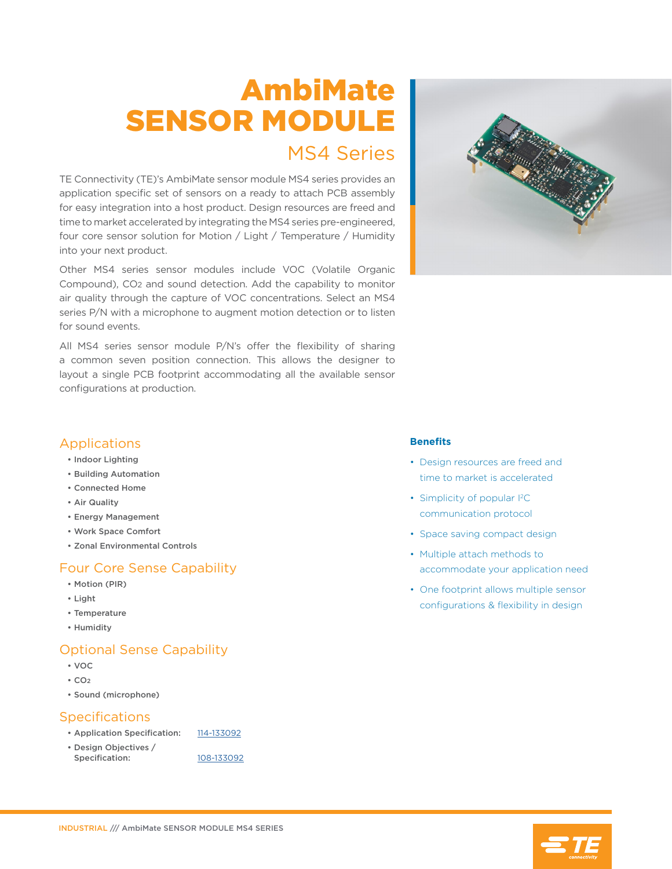# AmbiMate SENSOR MODULE

## MS4 Series

TE Connectivity (TE)'s AmbiMate sensor module MS4 series provides an application specific set of sensors on a ready to attach PCB assembly for easy integration into a host product. Design resources are freed and time to market accelerated by integrating the MS4 series pre-engineered, four core sensor solution for Motion / Light / Temperature / Humidity into your next product.

Other MS4 series sensor modules include VOC (Volatile Organic Compound), CO2 and sound detection. Add the capability to monitor air quality through the capture of VOC concentrations. Select an MS4 series P/N with a microphone to augment motion detection or to listen for sound events.

All MS4 series sensor module P/N's offer the flexibility of sharing a common seven position connection. This allows the designer to layout a single PCB footprint accommodating all the available sensor configurations at production.



#### Applications

- Indoor Lighting
- Building Automation
- Connected Home
- Air Quality
- Energy Management
- Work Space Comfort
- Zonal Environmental Controls

## Four Core Sense Capability

- Motion (PIR)
- Light
- Temperature
- Humidity

#### Optional Sense Capability

- VOC
- $\cdot$  CO<sub>2</sub>
- Sound (microphone)

## **Specifications**

- Application Specification: [114-133092](http://www.te.com/commerce/DocumentDelivery/DDEController?Action=showdoc&DocId=Specification+Or+Standard%7F114-133092%7FB%7Fpdf%7FEnglish%7FENG_SS_114-133092_B.pdf%7FN-A)
- Design Objectives / Specification: [108-133092](http://www.te.com/commerce/DocumentDelivery/DDEController?Action=showdoc&DocId=Specification+Or+Standard%7F108-133092%7F1%7Fpdf%7FEnglish%7FENG_SS_108-133092_1.pdf%7FN-A)
	-

#### **Benefits**

- Design resources are freed and time to market is accelerated
- Simplicity of popular I<sup>2</sup>C communication protocol
- Space saving compact design
- Multiple attach methods to accommodate your application need
- One footprint allows multiple sensor configurations & flexibility in design



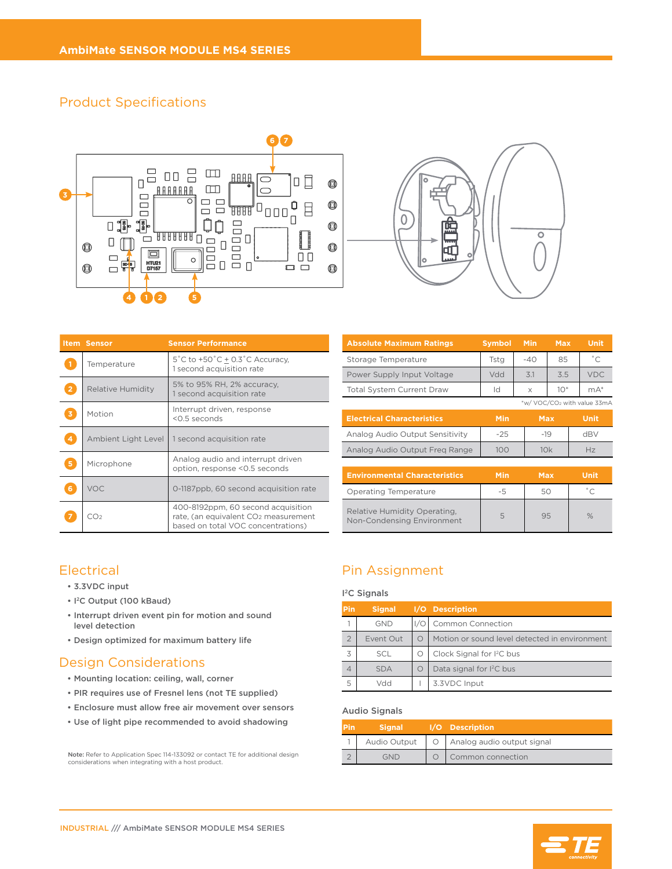#### Product Specifications





|    | <b>Item Sensor</b>  | <b>Sensor Performance</b>                                                                                                    |  |  |  |  |
|----|---------------------|------------------------------------------------------------------------------------------------------------------------------|--|--|--|--|
|    | Temperature         | $5^{\circ}$ C to +50 $^{\circ}$ C + 0.3 $^{\circ}$ C Accuracy,<br>1 second acquisition rate                                  |  |  |  |  |
|    | Relative Humidity   | 5% to 95% RH, 2% accuracy,<br>1 second acquisition rate                                                                      |  |  |  |  |
|    | Motion              | Interrupt driven, response<br><0.5 seconds                                                                                   |  |  |  |  |
|    | Ambient Light Level | 1 second acquisition rate                                                                                                    |  |  |  |  |
| 5. | Microphone          | Analog audio and interrupt driven<br>option, response <0.5 seconds                                                           |  |  |  |  |
| 6  | VOC                 | 0-1187ppb, 60 second acquisition rate                                                                                        |  |  |  |  |
|    | CO2                 | 400-8192ppm, 60 second acquisition<br>rate, (an equivalent CO <sub>2</sub> measurement<br>based on total VOC concentrations) |  |  |  |  |

| <b>Absolute Maximum Ratings</b>                            | <b>Symbol</b> | <b>Min</b> | <b>Max</b> | <b>Unit</b>                 |
|------------------------------------------------------------|---------------|------------|------------|-----------------------------|
| Storage Temperature                                        | Tstg          | $-40$      | 85         | $^{\circ}$ C                |
| Power Supply Input Voltage                                 | Vdd           | 3.1        | 3.5        | <b>VDC</b>                  |
| <b>Total System Current Draw</b>                           | Id            | X          | $10*$      | $mA^*$                      |
|                                                            |               |            |            | *w/ VOC/CO2 with value 33mA |
| <b>Electrical Characteristics</b>                          | Min           | <b>Max</b> |            | <b>Unit</b>                 |
| Analog Audio Output Sensitivity                            | $-25$         | $-19$      |            | dBV                         |
| Analog Audio Output Freg Range                             | 100           | 10k        |            | Hz                          |
|                                                            |               |            |            |                             |
| <b>Environmental Characteristics</b>                       | Min           | <b>Max</b> |            | Unit                        |
| <b>Operating Temperature</b>                               | -5            | 50         |            | $^{\circ}$ C                |
| Relative Humidity Operating,<br>Non-Condensing Environment | 5             | 95         |            | $\%$                        |

## **Electrical**

- 3.3VDC input
- I 2C Output (100 kBaud)
- Interrupt driven event pin for motion and sound level detection
- Design optimized for maximum battery life

#### Design Considerations

- Mounting location: ceiling, wall, corner
- PIR requires use of Fresnel lens (not TE supplied)
- Enclosure must allow free air movement over sensors
- Use of light pipe recommended to avoid shadowing

**Note:** Refer to Application Spec 114-133092 or contact TE for additional design<br>considerations when integrating with a host product.

## Pin Assignment

#### I 2C Signals

| <b>Pin</b><br><b>Signal</b> |            |            | I/O Description                               |  |  |  |  |
|-----------------------------|------------|------------|-----------------------------------------------|--|--|--|--|
|                             | <b>GND</b> |            | <b>Common Connection</b>                      |  |  |  |  |
|                             | Event Out  | $\bigcirc$ | Motion or sound level detected in environment |  |  |  |  |
| 3                           | <b>SCL</b> | Ο          | Clock Signal for I <sup>2</sup> C bus         |  |  |  |  |
| 4                           | <b>SDA</b> | O          | Data signal for I <sup>2</sup> C bus          |  |  |  |  |
| 5                           | NYY        |            | 3.3VDC Input                                  |  |  |  |  |

#### Audio Signals

| <b>Pin</b><br><b>Signal</b> |              | I/O Description                |  |  |  |
|-----------------------------|--------------|--------------------------------|--|--|--|
|                             | Audio Output | O   Analog audio output signal |  |  |  |
| GND                         |              | Common connection              |  |  |  |